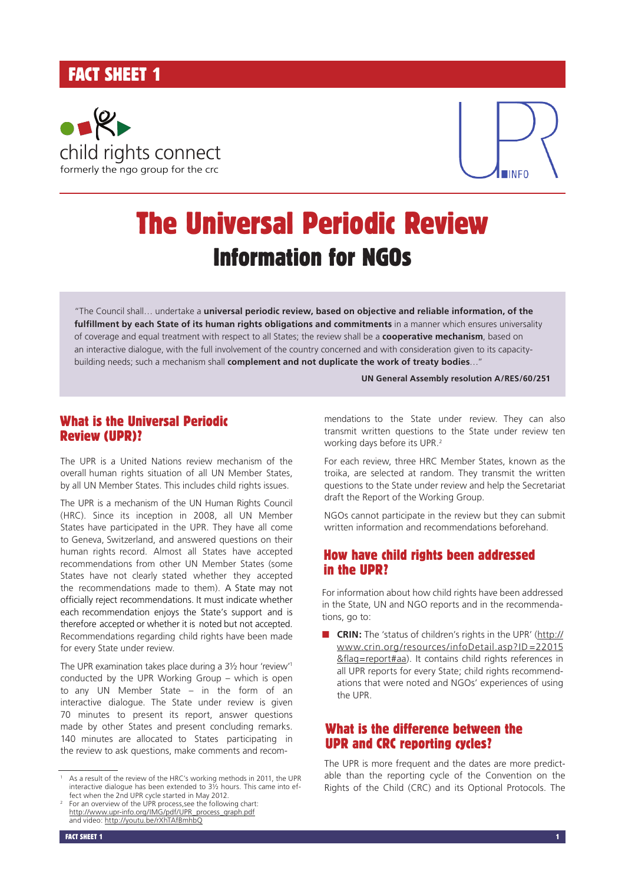## FACT SHEET 1





# The Universal Periodic Review Information for NGOs

"The Council shall… undertake a **universal periodic review, based on objective and reliable information, of the fulfillment by each State of its human rights obligations and commitments** in a manner which ensures universality of coverage and equal treatment with respect to all States; the review shall be a **cooperative mechanism**, based on an interactive dialogue, with the full involvement of the country concerned and with consideration given to its capacitybuilding needs; such a mechanism shall **complement and not duplicate the work of treaty bodies**…"

**UN General Assembly resolution A/RES/60/251**

## What is the Universal Periodic Review (UPR)?

The UPR is a United Nations review mechanism of the overall human rights situation of all UN Member States, by all UN Member States. This includes child rights issues.

The UPR is a mechanism of the UN Human Rights Council (HRC). Since its inception in 2008, all UN Member States have participated in the UPR. They have all come to Geneva, Switzerland, and answered questions on their human rights record. Almost all States have accepted recommendations from other UN Member States (some States have not clearly stated whether they accepted the recommendations made to them). A State may not officially reject recommendations. It must indicate whether each recommendation enjoys the State's support and is therefore accepted or whether it is noted but not accepted. .Recommendations regarding child rights have been made for every State under review.

The UPR examination takes place during a 3½ hour 'review'1 conducted by the UPR Working Group – which is open to any UN Member State – in the form of an interactive dialogue. The State under review is given 70 minutes to present its report, answer questions made by other States and present concluding remarks. 140 minutes are allocated to States participating in the review to ask questions, make comments and recom-

mendations to the State under review. They can also transmit written questions to the State under review ten working days before its UPR.<sup>2</sup>

For each review, three HRC Member States, known as the troika, are selected at random. They transmit the written questions to the State under review and help the Secretariat draft the Report of the Working Group.

NGOs cannot participate in the review but they can submit written information and recommendations beforehand.

### How have child rights been addressed in the UPR?

For information about how child rights have been addressed in the State, UN and NGO reports and in the recommendations, go to:

**n CRIN:** The 'status of children's rights in the UPR' (http:// www.crin.org/resources/infoDetail.asp?ID=22015 &flag=report#aa). It contains child rights references in all UPR reports for every State; child rights recommendations that were noted and NGOs' experiences of using the UPR.

## What is the difference between the UPR and CRC reporting cycles?

The UPR is more frequent and the dates are more predictable than the reporting cycle of the Convention on the Rights of the Child (CRC) and its Optional Protocols. The

<sup>&</sup>lt;sup>1</sup> As a result of the review of the HRC's working methods in 2011, the UPR interactive dialogue has been extended to  $3\frac{1}{2}$  hours. This came into effect when the 2nd UPR cycle started in May 2012.

Fect when the 2nd UPR cycle started in May 2012. 2 For an overview of the UPR process, see the following chart: http://www.upr-info.org/IMG/pdf/UPR\_process\_graph.pdf and video: http://youtu.be/rXhTAfBmhbQ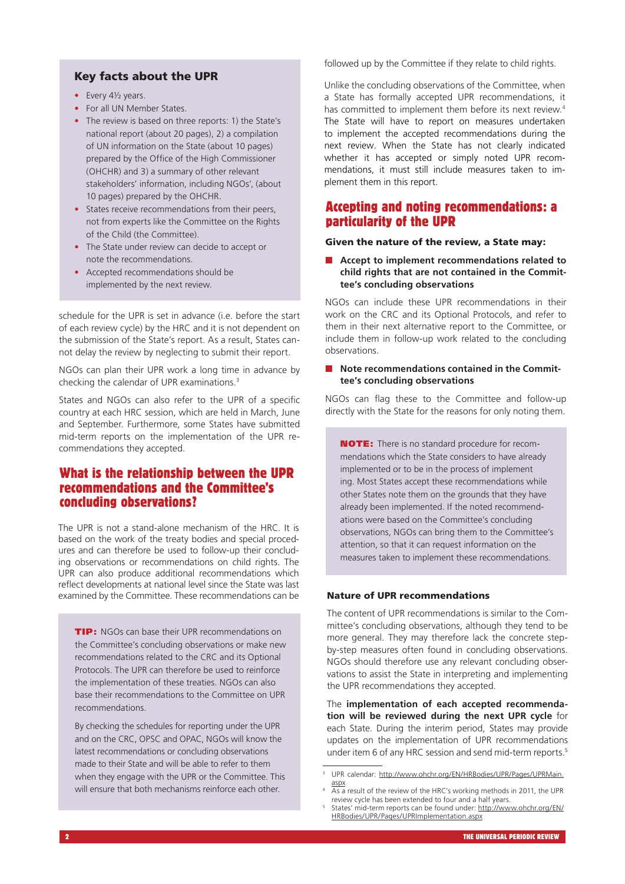#### Key facts about the UPR

- Every 41/2 years.
- For all UN Member States.
- The review is based on three reports: 1) the State's national report (about 20 pages), 2) a compilation of UN information on the State (about 10 pages) prepared by the Office of the High Commissioner (OHCHR) and 3) a summary of other relevant stakeholders' information, including NGOs', (about 10 pages) prepared by the OHCHR.
- States receive recommendations from their peers, not from experts like the Committee on the Rights of the Child (the Committee).
- The State under review can decide to accept or note the recommendations.
- Accepted recommendations should be implemented by the next review.

schedule for the UPR is set in advance (i.e. before the start of each review cycle) by the HRC and it is not dependent on the submission of the State's report. As a result, States cannot delay the review by neglecting to submit their report.

NGOs can plan their UPR work a long time in advance by checking the calendar of UPR examinations.3

States and NGOs can also refer to the UPR of a specific country at each HRC session, which are held in March, June and September. Furthermore, some States have submitted mid-term reports on the implementation of the UPR recommendations they accepted.

## What is the relationship between the UPR recommendations and the Committee's concluding observations?

The UPR is not a stand-alone mechanism of the HRC. It is based on the work of the treaty bodies and special procedures and can therefore be used to follow-up their concluding observations or recommendations on child rights. The UPR can also produce additional recommendations which reflect developments at national level since the State was last examined by the Committee. These recommendations can be

**TIP:** NGOs can base their UPR recommendations on the Committee's concluding observations or make new recommendations related to the CRC and its Optional Protocols. The UPR can therefore be used to reinforce the implementation of these treaties. NGOs can also base their recommendations to the Committee on UPR recommendations.

By checking the schedules for reporting under the UPR and on the CRC, OPSC and OPAC, NGOs will know the latest recommendations or concluding observations made to their State and will be able to refer to them when they engage with the UPR or the Committee. This will ensure that both mechanisms reinforce each other.

followed up by the Committee if they relate to child rights.

Unlike the concluding observations of the Committee, when a State has formally accepted UPR recommendations, it has committed to implement them before its next review.<sup>4</sup> The State will have to report on measures undertaken to implement the accepted recommendations during the next review. When the State has not clearly indicated whether it has accepted or simply noted UPR recommendations, it must still include measures taken to implement them in this report.

### Accepting and noting recommendations: a particularity of the UPR

#### Given the nature of the review, a State may:

n **Accept to implement recommendations related to child rights that are not contained in the Committee's concluding observations** 

NGOs can include these UPR recommendations in their work on the CRC and its Optional Protocols, and refer to them in their next alternative report to the Committee, or include them in follow-up work related to the concluding observations.

#### ■ Note recommendations contained in the Commit**tee's concluding observations**

NGOs can flag these to the Committee and follow-up directly with the State for the reasons for only noting them.

NOTE: There is no standard procedure for recommendations which the State considers to have already implemented or to be in the process of implement ing. Most States accept these recommendations while other States note them on the grounds that they have already been implemented. If the noted recommendations were based on the Committee's concluding observations, NGOs can bring them to the Committee's attention, so that it can request information on the measures taken to implement these recommendations.

#### Nature of UPR recommendations

The content of UPR recommendations is similar to the Committee's concluding observations, although they tend to be more general. They may therefore lack the concrete stepby-step measures often found in concluding observations. NGOs should therefore use any relevant concluding observations to assist the State in interpreting and implementing the UPR recommendations they accepted.

The **implementation of each accepted recommendation will be reviewed during the next UPR cycle** for each State. During the interim period, States may provide updates on the implementation of UPR recommendations under item 6 of any HRC session and send mid-term reports.<sup>5</sup>

<sup>3</sup> UPR calendar: http://www.ohchr.org/EN/HRBodies/UPR/Pages/UPRMain. aspx

 $\frac{\omega_{\text{BA}}}{\Delta s}$  a result of the review of the HRC's working methods in 2011, the UPR review cycle has been extended to four and a half years.

review cycle has been extended to four and a half years. 5 States' mid-term reports can be found under: http://www.ohchr.org/EN/ HRBodies/UPR/Pages/UPRImplementation.aspx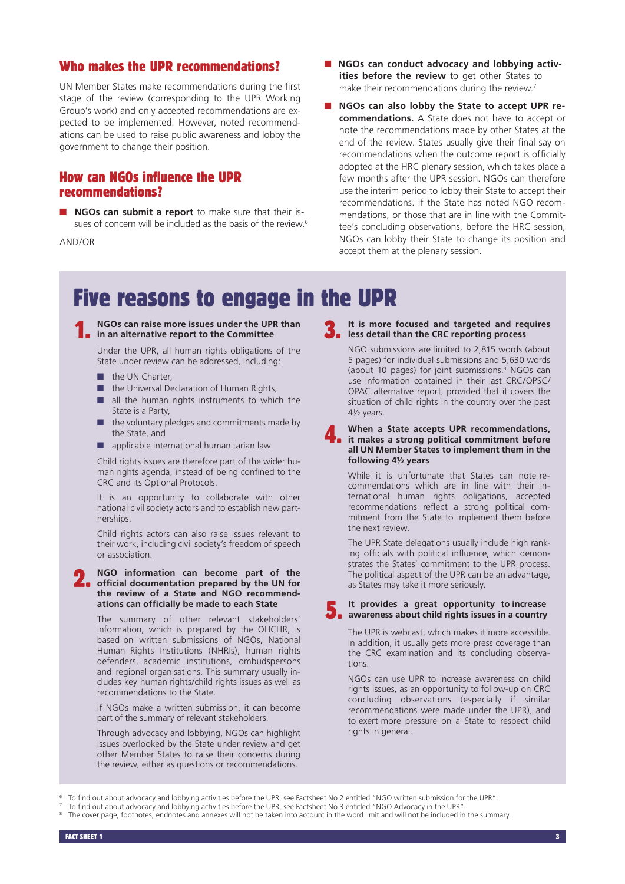## Who makes the UPR recommendations?

UN Member States make recommendations during the first stage of the review (corresponding to the UPR Working Group's work) and only accepted recommendations are expected to be implemented. However, noted recommendations can be used to raise public awareness and lobby the government to change their position.

## How can NGOs influence the UPR recommendations?

**n** NGOs can submit a report to make sure that their issues of concern will be included as the basis of the review.<sup>6</sup>

AND/OR

- **n** NGOs can conduct advocacy and lobbying activ**ities before the review** to get other States to make their recommendations during the review.<sup>7</sup>
- n **NGOs can also lobby the State to accept UPR recommendations.** A State does not have to accept or note the recommendations made by other States at the end of the review. States usually give their final say on recommendations when the outcome report is officially adopted at the HRC plenary session, which takes place a few months after the UPR session. NGOs can therefore use the interim period to lobby their State to accept their recommendations. If the State has noted NGO recommendations, or those that are in line with the Committee's concluding observations, before the HRC session, NGOs can lobby their State to change its position and accept them at the plenary session.

## Five reasons to engage in the UPR



Under the UPR, all human rights obligations of the State under review can be addressed, including:

- $\blacksquare$  the UN Charter,
- $\blacksquare$  the Universal Declaration of Human Rights,
- $\blacksquare$  all the human rights instruments to which the State is a Party,
- the voluntary pledges and commitments made by the State, and
- $\blacksquare$  applicable international humanitarian law

Child rights issues are therefore part of the wider human rights agenda, instead of being confined to the CRC and its Optional Protocols.

It is an opportunity to collaborate with other national civil society actors and to establish new partnerships.

Child rights actors can also raise issues relevant to their work, including civil society's freedom of speech or association.

## 2. **NGO information can become part of the official documentation prepared by the UN for the review of a State and NGO recommendations can officially be made to each State**

The summary of other relevant stakeholders' information, which is prepared by the OHCHR, is based on written submissions of NGOs, National Human Rights Institutions (NHRIs), human rights defenders, academic institutions, ombudspersons and regional organisations. This summary usually includes key human rights/child rights issues as well as recommendations to the State.

If NGOs make a written submission, it can become part of the summary of relevant stakeholders.

Through advocacy and lobbying, NGOs can highlight issues overlooked by the State under review and get other Member States to raise their concerns during the review, either as questions or recommendations.

**3.** It is more rocused and the CRC reporting process **It is more focused and targeted and requires** 

NGO submissions are limited to 2,815 words (about 5 pages) for individual submissions and 5,630 words (about 10 pages) for joint submissions.8 NGOs can use information contained in their last CRC/OPSC/ OPAC alternative report, provided that it covers the situation of child rights in the country over the past 4½ years.

4. **When a State accepts UPR recommendations, it makes a strong political commitment before all UN Member States to implement them in the following 4½ years**

While it is unfortunate that States can note recommendations which are in line with their international human rights obligations, accepted recommendations reflect a strong political commitment from the State to implement them before the next review.

The UPR State delegations usually include high ranking officials with political influence, which demonstrates the States' commitment to the UPR process. The political aspect of the UPR can be an advantage, as States may take it more seriously.

#### **It provides a great opportunity to increase a** It provides a great opportunity to increase<br> **a** awareness about child rights issues in a country

The UPR is webcast, which makes it more accessible. In addition, it usually gets more press coverage than the CRC examination and its concluding observations.

NGOs can use UPR to increase awareness on child rights issues, as an opportunity to follow-up on CRC concluding observations (especially if similar recommendations were made under the UPR), and to exert more pressure on a State to respect child rights in general.

To find out about advocacy and lobbying activities before the UPR, see Factsheet No.2 entitled "NGO written submission for the UPR".

<sup>7</sup> To find out about advocacy and lobbying activities before the UPR, see Factsheet No.3 entitled "NGO Advocacy in the UPR".

The cover page, footnotes, endnotes and annexes will not be taken into account in the word limit and will not be included in the summary.